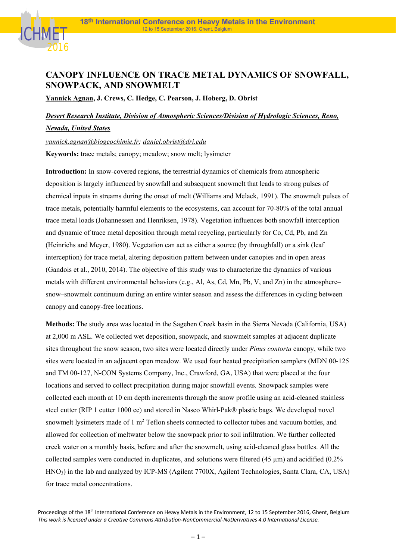

## **CANOPY INFLUENCE ON TRACE METAL DYNAMICS OF SNOWFALL, SNOWPACK, AND SNOWMELT**

**Yannick Agnan, J. Crews, C. Hedge, C. Pearson, J. Hoberg, D. Obrist** 

## *Desert Research Institute, Division of Atmospheric Sciences/Division of Hydrologic Sciences, Reno, Nevada, United States*

*yannick.agnan@biogeochimie.fr; daniel.obrist@dri.edu*  **Keywords:** trace metals; canopy; meadow; snow melt; lysimeter

**Introduction:** In snow-covered regions, the terrestrial dynamics of chemicals from atmospheric deposition is largely influenced by snowfall and subsequent snowmelt that leads to strong pulses of chemical inputs in streams during the onset of melt (Williams and Melack, 1991). The snowmelt pulses of trace metals, potentially harmful elements to the ecosystems, can account for 70-80% of the total annual trace metal loads (Johannessen and Henriksen, 1978). Vegetation influences both snowfall interception and dynamic of trace metal deposition through metal recycling, particularly for Co, Cd, Pb, and Zn (Heinrichs and Meyer, 1980). Vegetation can act as either a source (by throughfall) or a sink (leaf interception) for trace metal, altering deposition pattern between under canopies and in open areas (Gandois et al., 2010, 2014). The objective of this study was to characterize the dynamics of various metals with different environmental behaviors (e.g., Al, As, Cd, Mn, Pb, V, and Zn) in the atmosphere– snow–snowmelt continuum during an entire winter season and assess the differences in cycling between canopy and canopy-free locations.

**Methods:** The study area was located in the Sagehen Creek basin in the Sierra Nevada (California, USA) at 2,000 m ASL. We collected wet deposition, snowpack, and snowmelt samples at adjacent duplicate sites throughout the snow season, two sites were located directly under *Pinus contorta* canopy, while two sites were located in an adjacent open meadow. We used four heated precipitation samplers (MDN 00-125 and TM 00-127, N-CON Systems Company, Inc., Crawford, GA, USA) that were placed at the four locations and served to collect precipitation during major snowfall events. Snowpack samples were collected each month at 10 cm depth increments through the snow profile using an acid-cleaned stainless steel cutter (RIP 1 cutter 1000 cc) and stored in Nasco Whirl-Pak® plastic bags. We developed novel snowmelt lysimeters made of 1 m<sup>2</sup> Teflon sheets connected to collector tubes and vacuum bottles, and allowed for collection of meltwater below the snowpack prior to soil infiltration. We further collected creek water on a monthly basis, before and after the snowmelt, using acid-cleaned glass bottles. All the collected samples were conducted in duplicates, and solutions were filtered (45 µm) and acidified (0.2% HNO3) in the lab and analyzed by ICP-MS (Agilent 7700X, Agilent Technologies, Santa Clara, CA, USA) for trace metal concentrations.

Proceedings of the 18<sup>th</sup> International Conference on Heavy Metals in the Environment, 12 to 15 September 2016, Ghent, Belgium This work is licensed under a Creative Commons Attribution-NonCommercial-NoDerivatives 4.0 International License.